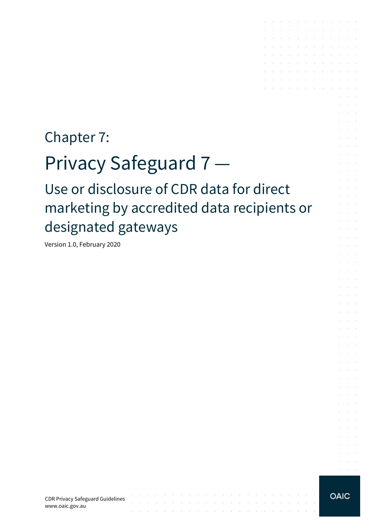## Chapter 7:

# Privacy Safeguard 7 —

Use or disclosure of CDR data for direct marketing by accredited data recipients or designated gateways

Version 1.0, February 2020

and the contract of

the contract of the contract of the con-

the contract of the contract of the contract of the contract of the contract of

**OAIC** 

 $\sim$ 

 $\mathcal{L}^{\text{max}}$  and  $\mathcal{L}^{\text{max}}$ 

 $\sim 10^{-1}$ 

and a state

and a state

and a series of the contract of the contract of and a series of the contract of the series of  $\mathcal{A}$  . The signal properties of the signal properties of  $\mathcal{A}$ the control of the control of the contract of the contract of the the contract of the contract of the contract of and a series of the contract of the  $\mathcal{L}^{\mathcal{A}}$  . The set of the set of the set of the set of the set of  $\mathcal{L}^{\mathcal{A}}$ and a straightful and a straight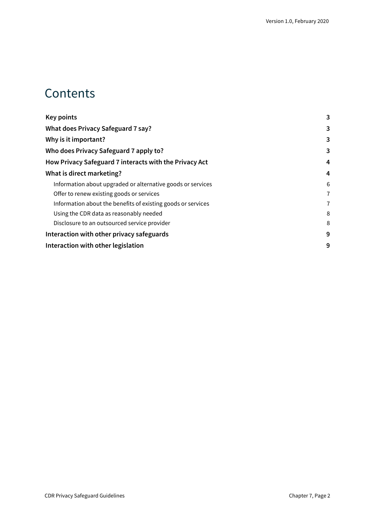### **Contents**

| 3<br>3<br>3<br>4<br>4<br>Information about upgraded or alternative goods or services<br>6<br>Offer to renew existing goods or services<br>7<br>Information about the benefits of existing goods or services<br>$\overline{7}$<br>Using the CDR data as reasonably needed<br>8<br>Disclosure to an outsourced service provider<br>8<br>9<br>9 | <b>Key points</b>                                      | 3 |
|----------------------------------------------------------------------------------------------------------------------------------------------------------------------------------------------------------------------------------------------------------------------------------------------------------------------------------------------|--------------------------------------------------------|---|
|                                                                                                                                                                                                                                                                                                                                              | What does Privacy Safeguard 7 say?                     |   |
|                                                                                                                                                                                                                                                                                                                                              | Why is it important?                                   |   |
|                                                                                                                                                                                                                                                                                                                                              | Who does Privacy Safeguard 7 apply to?                 |   |
|                                                                                                                                                                                                                                                                                                                                              | How Privacy Safeguard 7 interacts with the Privacy Act |   |
|                                                                                                                                                                                                                                                                                                                                              | What is direct marketing?                              |   |
|                                                                                                                                                                                                                                                                                                                                              |                                                        |   |
|                                                                                                                                                                                                                                                                                                                                              |                                                        |   |
|                                                                                                                                                                                                                                                                                                                                              |                                                        |   |
|                                                                                                                                                                                                                                                                                                                                              |                                                        |   |
|                                                                                                                                                                                                                                                                                                                                              |                                                        |   |
|                                                                                                                                                                                                                                                                                                                                              | Interaction with other privacy safeguards              |   |
|                                                                                                                                                                                                                                                                                                                                              | Interaction with other legislation                     |   |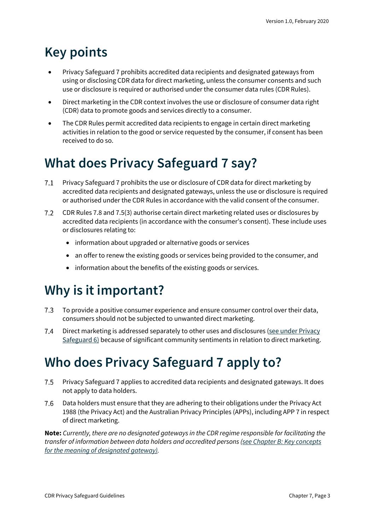## <span id="page-2-0"></span>**Key points**

- Privacy Safeguard 7 prohibits accredited data recipients and designated gateways from using or disclosing CDR data for direct marketing, unless the consumer consents and such use or disclosure is required or authorised under the consumer data rules (CDR Rules).
- Direct marketing in the CDR context involves the use or disclosure of consumer data right (CDR) data to promote goods and services directly to a consumer.
- The CDR Rules permit accredited data recipients to engage in certain direct marketing activities in relation to the good or service requested by the consumer, if consent has been received to do so.

## <span id="page-2-1"></span>**What does Privacy Safeguard 7 say?**

- Privacy Safeguard 7 prohibits the use or disclosure of CDR data for direct marketing by  $7.1$ accredited data recipients and designated gateways, unless the use or disclosure is required or authorised under the CDR Rules in accordance with the valid consent of the consumer.
- $7.2$ CDR Rules 7.8 and 7.5(3) authorise certain direct marketing related uses or disclosures by accredited data recipients (in accordance with the consumer's consent). These include uses or disclosures relating to:
	- information about upgraded or alternative goods or services
	- an offer to renew the existing goods or services being provided to the consumer, and
	- information about the benefits of the existing goods or services.

### <span id="page-2-2"></span>**Why is it important?**

- $7.3$ To provide a positive consumer experience and ensure consumer control over their data, consumers should not be subjected to unwanted direct marketing.
- $7.4$ Direct marketing is addressed separately to other uses and disclosures (see under Privacy [Safeguard 6\)](https://www.oaic.gov.au/consumer-data-right/cdr-privacy-safeguard-guidelines/chapter-6-privacy-safeguard-6-use-or-disclosure-of-cdr-data-by-accredited-data-recipients-or-designated-gateways) because of significant community sentiments in relation to direct marketing.

## <span id="page-2-3"></span>**Who does Privacy Safeguard 7 apply to?**

- Privacy Safeguard 7 applies to accredited data recipients and designated gateways. It does 7.5 not apply to data holders.
- Data holders must ensure that they are adhering to their obligations under the Privacy Act 7.6 1988 (the Privacy Act) and the Australian Privacy Principles (APPs), including APP 7 in respect of direct marketing.

**Note:** *Currently, there are no designated gateways in the CDR regime responsible for facilitating the transfer of information between data holders and accredited persons [\(see Chapter B: Key concepts](https://www.oaic.gov.au/consumer-data-right/cdr-privacy-safeguard-guidelines/chapter-b-key-concepts)  [for the meaning of designated gateway\).](https://www.oaic.gov.au/consumer-data-right/cdr-privacy-safeguard-guidelines/chapter-b-key-concepts)*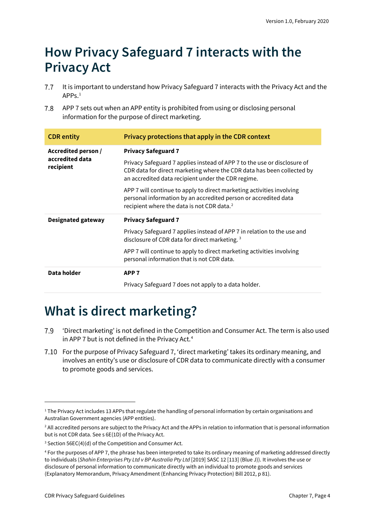### <span id="page-3-0"></span>**How Privacy Safeguard 7 interacts with the Privacy Act**

- $7.7$ It is important to understand how Privacy Safeguard 7 interacts with the Privacy Act and the  $APPS<sup>1</sup>$  $APPS<sup>1</sup>$  $APPS<sup>1</sup>$
- 7.8 APP 7 sets out when an APP entity is prohibited from using or disclosing personal information for the purpose of direct marketing.

| <b>CDR</b> entity                                   | Privacy protections that apply in the CDR context                                                                                                                                                        |
|-----------------------------------------------------|----------------------------------------------------------------------------------------------------------------------------------------------------------------------------------------------------------|
| Accredited person /<br>accredited data<br>recipient | <b>Privacy Safeguard 7</b>                                                                                                                                                                               |
|                                                     | Privacy Safeguard 7 applies instead of APP 7 to the use or disclosure of<br>CDR data for direct marketing where the CDR data has been collected by<br>an accredited data recipient under the CDR regime. |
|                                                     | APP 7 will continue to apply to direct marketing activities involving<br>personal information by an accredited person or accredited data<br>recipient where the data is not CDR data. <sup>2</sup>       |
|                                                     |                                                                                                                                                                                                          |
| <b>Designated gateway</b>                           | <b>Privacy Safeguard 7</b>                                                                                                                                                                               |
|                                                     | Privacy Safeguard 7 applies instead of APP 7 in relation to the use and<br>disclosure of CDR data for direct marketing. <sup>3</sup>                                                                     |
|                                                     | APP 7 will continue to apply to direct marketing activities involving<br>personal information that is not CDR data.                                                                                      |
| Data holder                                         | APP <sub>7</sub>                                                                                                                                                                                         |

## <span id="page-3-1"></span>**What is direct marketing?**

- 7.9 'Direct marketing' is not defined in the Competition and Consumer Act. The term is also used in APP 7 but is not defined in the Privacy Act.<sup>[4](#page-3-5)</sup>
- For the purpose of Privacy Safeguard 7, 'direct marketing' takes its ordinary meaning, and involves an entity's use or disclosure of CDR data to communicate directly with a consumer to promote goods and services.

<span id="page-3-2"></span><sup>&</sup>lt;sup>1</sup> The Privacy Act includes 13 APPs that regulate the handling of personal information by certain organisations and Australian Government agencies (APP entities).

<span id="page-3-3"></span><sup>&</sup>lt;sup>2</sup> All accredited persons are subject to the Privacy Act and the APPs in relation to information that is personal information but is not CDR data. See s 6E(1D) of the Privacy Act.

<span id="page-3-4"></span><sup>3</sup> Section 56EC(4)(d) of the Competition and Consumer Act.

<span id="page-3-5"></span><sup>4</sup> For the purposes of APP 7, the phrase has been interpreted to take its ordinary meaning of marketing addressed directly to individuals (*Shahin Enterprises Pty Ltd v BP Australia Pty Ltd* [2019] SASC 12 [113] (Blue J)). It involves the use or disclosure of personal information to communicate directly with an individual to promote goods and services (Explanatory Memorandum, Privacy Amendment (Enhancing Privacy Protection) Bill 2012, p 81).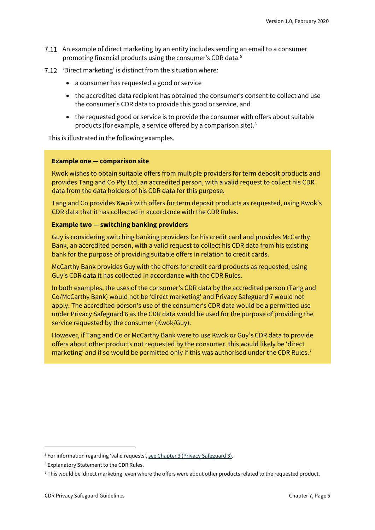- An example of direct marketing by an entity includes sending an email to a consumer promoting financial products using the consumer's CDR data. [5](#page-4-0)
- 7.12 'Direct marketing' is distinct from the situation where:
	- a consumer has requested a good or service
	- the accredited data recipient has obtained the consumer's consent to collect and use the consumer's CDR data to provide this good or service, and
	- the requested good or service is to provide the consumer with offers about suitable products (for example, a service offered by a comparison site). [6](#page-4-1)

This is illustrated in the following examples.

#### **Example one — comparison site**

Kwok wishes to obtain suitable offers from multiple providers for term deposit products and provides Tang and Co Pty Ltd, an accredited person, with a valid request to collect his CDR data from the data holders of his CDR data for this purpose.

Tang and Co provides Kwok with offers for term deposit products as requested, using Kwok's CDR data that it has collected in accordance with the CDR Rules.

#### **Example two — switching banking providers**

Guy is considering switching banking providers for his credit card and provides McCarthy Bank, an accredited person, with a valid request to collect his CDR data from his existing bank for the purpose of providing suitable offers in relation to credit cards.

McCarthy Bank provides Guy with the offers for credit card products as requested, using Guy's CDR data it has collected in accordance with the CDR Rules.

In both examples, the uses of the consumer's CDR data by the accredited person (Tang and Co/McCarthy Bank) would not be 'direct marketing' and Privacy Safeguard 7 would not apply. The accredited person's use of the consumer's CDR data would be a permitted use under Privacy Safeguard 6 as the CDR data would be used for the purpose of providing the service requested by the consumer (Kwok/Guy).

However, if Tang and Co or McCarthy Bank were to use Kwok or Guy's CDR data to provide offers about other products not requested by the consumer, this would likely be 'direct marketing' and if so would be permitted only if this was authorised under the CDR Rules.<sup>[7](#page-4-2)</sup>

<span id="page-4-0"></span><sup>&</sup>lt;sup>5</sup> For information regarding 'valid requests'[, see Chapter 3 \(Privacy Safeguard 3\).](https://www.oaic.gov.au/consumer-data-right/cdr-privacy-safeguard-guidelines/chapter-3-privacy-safeguard-3-seeking-to-collect-cdr-data-from-cdr-participants)

<span id="page-4-1"></span><sup>6</sup> Explanatory Statement to the CDR Rules.

<span id="page-4-2"></span><sup>7</sup> This would be 'direct marketing' even where the offers were about other products related to the requested product.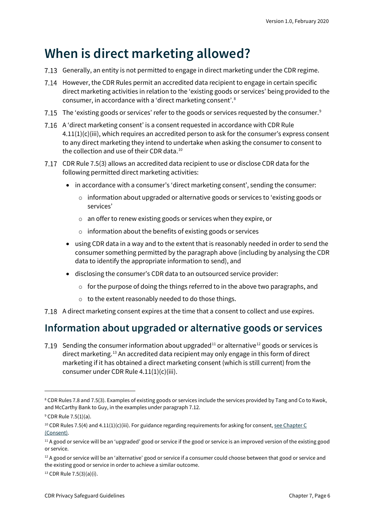### **When is direct marketing allowed?**

- 7.13 Generally, an entity is not permitted to engage in direct marketing under the CDR regime.
- However, the CDR Rules permit an accredited data recipient to engage in certain specific direct marketing activities in relation to the 'existing goods or services' being provided to the consumer, in accordance with a 'direct marketing consent'. [8](#page-5-1)
- The 'existing goods or services' refer to the goods or services requested by the consumer. $^{\mathrm{s}}$
- A 'direct marketing consent' is a consent requested in accordance with CDR Rule 4.11(1)(c)(iii), which requires an accredited person to ask for the consumer's express consent to any direct marketing they intend to undertake when asking the consumer to consent to the collection and use of their CDR data.[10](#page-5-3)
- CDR Rule 7.5(3) allows an accredited data recipient to use or disclose CDR data for the following permitted direct marketing activities:
	- in accordance with a consumer's 'direct marketing consent', sending the consumer:
		- $\circ$  information about upgraded or alternative goods or services to 'existing goods or services'
		- o an offer to renew existing goods or services when they expire, or
		- o information about the benefits of existing goods or services
	- using CDR data in a way and to the extent that is reasonably needed in order to send the consumer something permitted by the paragraph above (including by analysing the CDR data to identify the appropriate information to send), and
	- disclosing the consumer's CDR data to an outsourced service provider:
		- o for the purpose of doing the things referred to in the above two paragraphs, and
		- o to the extent reasonably needed to do those things.
- A direct marketing consent expires at the time that a consent to collect and use expires.

### <span id="page-5-0"></span>**Information about upgraded or alternative goods or services**

7.19 Sending the consumer information about upgraded<sup>[11](#page-5-4)</sup> or alternative<sup>[12](#page-5-5)</sup> goods or services is direct marketing.<sup>[13](#page-5-6)</sup> An accredited data recipient may only engage in this form of direct marketing if it has obtained a direct marketing consent (which is still current) from the consumer under CDR Rule 4.11(1)(c)(iii).

<span id="page-5-1"></span><sup>&</sup>lt;sup>8</sup> CDR Rules 7.8 and 7.5(3). Examples of existing goods or services include the services provided by Tang and Co to Kwok, and McCarthy Bank to Guy, in the examples under paragraph 7.12.

<span id="page-5-2"></span> $9$  CDR Rule 7.5(1)(a).

<span id="page-5-3"></span> $10$  CDR Rules 7.5(4) and 4.11(1)(c)(iii). For guidance regarding requirements for asking for consent, see Chapter C [\(Consent\).](https://www.oaic.gov.au/consumer-data-right/cdr-privacy-safeguard-guidelines/chapter-c-consent-the-basis-for-collecting-and-using-cdr-data)

<span id="page-5-4"></span><sup>&</sup>lt;sup>11</sup> A good or service will be an 'upgraded' good or service if the good or service is an improved version of the existing good or service.

<span id="page-5-5"></span><sup>&</sup>lt;sup>12</sup> A good or service will be an 'alternative' good or service if a consumer could choose between that good or service and the existing good or service in order to achieve a similar outcome.

<span id="page-5-6"></span><sup>13</sup> CDR Rule 7.5(3)(a)(i).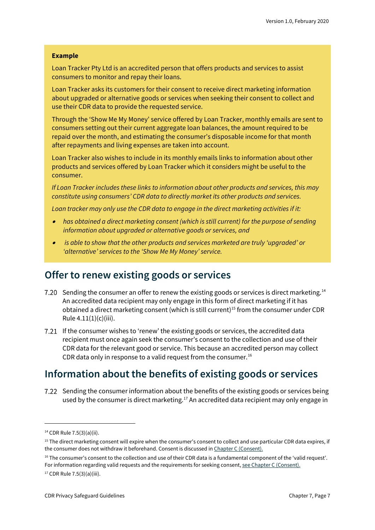#### **Example**

Loan Tracker Pty Ltd is an accredited person that offers products and services to assist consumers to monitor and repay their loans.

Loan Tracker asks its customers for their consent to receive direct marketing information about upgraded or alternative goods or services when seeking their consent to collect and use their CDR data to provide the requested service.

Through the 'Show Me My Money' service offered by Loan Tracker, monthly emails are sent to consumers setting out their current aggregate loan balances, the amount required to be repaid over the month, and estimating the consumer's disposable income for that month after repayments and living expenses are taken into account.

Loan Tracker also wishes to include in its monthly emails links to information about other products and services offered by Loan Tracker which it considers might be useful to the consumer.

*If Loan Tracker includes these links to information about other products and services, this may constitute using consumers' CDR data to directly market its other products and services.*

*Loan tracker may only use the CDR data to engage in the direct marketing activities if it:*

- • *has obtained a direct marketing consent (which is still current) for the purpose of sending information about upgraded or alternative goods or services, and*
- • *is able to show that the other products and services marketed are truly 'upgraded' or 'alternative' services to the 'Show Me My Money' service.*

### <span id="page-6-0"></span>**Offer to renew existing goods or services**

- 7.20 Sending the consumer an offer to renew the existing goods or services is direct marketing.<sup>[14](#page-6-2)</sup> An accredited data recipient may only engage in this form of direct marketing if it has obtained a direct marketing consent (which is still current)<sup>[15](#page-6-3)</sup> from the consumer under CDR Rule  $4.11(1)(c)(iii)$ .
- 7.21 If the consumer wishes to 'renew' the existing goods or services, the accredited data recipient must once again seek the consumer's consent to the collection and use of their CDR data for the relevant good or service. This because an accredited person may collect CDR data only in response to a valid request from the consumer.<sup>[16](#page-6-4)</sup>

### <span id="page-6-1"></span>**Information about the benefits of existing goods or services**

7.22 Sending the consumer information about the benefits of the existing goods or services being used by the consumer is direct marketing.<sup>[17](#page-6-5)</sup> An accredited data recipient may only engage in

<span id="page-6-2"></span><sup>14</sup> CDR Rule 7.5(3)(a)(ii).

<span id="page-6-3"></span><sup>&</sup>lt;sup>15</sup> The direct marketing consent will expire when the consumer's consent to collect and use particular CDR data expires, if the consumer does not withdraw it beforehand. Consent is discussed i[n Chapter C \(Consent\).](https://www.oaic.gov.au/consumer-data-right/cdr-privacy-safeguard-guidelines/chapter-c-consent-the-basis-for-collecting-and-using-cdr-data)

<span id="page-6-4"></span><sup>&</sup>lt;sup>16</sup> The consumer's consent to the collection and use of their CDR data is a fundamental component of the 'valid request'. For information regarding valid requests and the requirements for seeking consent, [see Chapter C \(Consent\).](https://www.oaic.gov.au/consumer-data-right/cdr-privacy-safeguard-guidelines/chapter-c-consent-the-basis-for-collecting-and-using-cdr-data)

<span id="page-6-5"></span><sup>17</sup> CDR Rule 7.5(3)(a)(iii).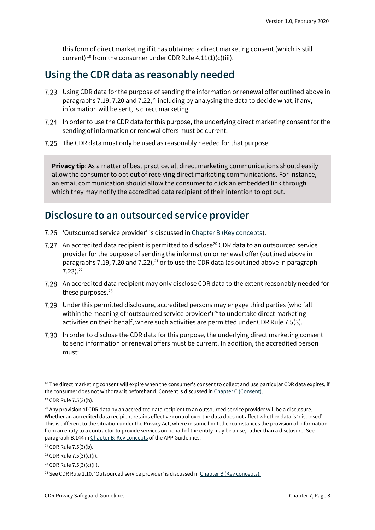this form of direct marketing if it has obtained a direct marketing consent (which is still current)<sup>[18](#page-7-2)</sup> from the consumer under CDR Rule  $4.11(1)(c)(iii)$ .

### <span id="page-7-0"></span>**Using the CDR data as reasonably needed**

- Using CDR data for the purpose of sending the information or renewal offer outlined above in paragraphs 7.[19](#page-7-3), 7.20 and 7.22,<sup>19</sup> including by analysing the data to decide what, if any, information will be sent, is direct marketing.
- In order to use the CDR data for this purpose, the underlying direct marketing consent for the sending of information or renewal offers must be current.
- The CDR data must only be used as reasonably needed for that purpose.

**Privacy tip**: As a matter of best practice, all direct marketing communications should easily allow the consumer to opt out of receiving direct marketing communications. For instance, an email communication should allow the consumer to click an embedded link through which they may notify the accredited data recipient of their intention to opt out.

### <span id="page-7-1"></span>**Disclosure to an outsourced service provider**

- 'Outsourced service provider' is discussed i[n Chapter B \(Key concepts\)](https://www.oaic.gov.au/consumer-data-right/cdr-privacy-safeguard-guidelines/chapter-b-key-concepts).
- 7.27 An accredited data recipient is permitted to disclose<sup>[20](#page-7-4)</sup> CDR data to an outsourced service provider for the purpose of sending the information or renewal offer (outlined above in paragraphs 7.19, 7.20 and 7.22),<sup>[21](#page-7-5)</sup> or to use the CDR data (as outlined above in paragraph 7.23). [22](#page-7-6)
- An accredited data recipient may only disclose CDR data to the extent reasonably needed for these purposes.<sup>[23](#page-7-7)</sup>
- Under this permitted disclosure, accredited persons may engage third parties (who fall within the meaning of 'outsourced service provider')<sup>[24](#page-7-8)</sup> to undertake direct marketing activities on their behalf, where such activities are permitted under CDR Rule 7.5(3).
- In order to disclose the CDR data for this purpose, the underlying direct marketing consent to send information or renewal offers must be current. In addition, the accredited person must:

<span id="page-7-2"></span><sup>&</sup>lt;sup>18</sup> The direct marketing consent will expire when the consumer's consent to collect and use particular CDR data expires, if the consumer does not withdraw it beforehand. Consent is discussed i[n Chapter C \(Consent\).](https://www.oaic.gov.au/consumer-data-right/cdr-privacy-safeguard-guidelines/chapter-c-consent-the-basis-for-collecting-and-using-cdr-data)

<span id="page-7-3"></span><sup>19</sup> CDR Rule 7.5(3)(b).

<span id="page-7-4"></span> $20$  Any provision of CDR data by an accredited data recipient to an outsourced service provider will be a disclosure. Whether an accredited data recipient retains effective control over the data does not affect whether data is 'disclosed'. This is different to the situation under the Privacy Act, where in some limited circumstances the provision of information from an entity to a contractor to provide services on behalf of the entity may be a use, rather than a disclosure. See paragraph B.144 i[n Chapter B: Key concepts](https://www.oaic.gov.au/privacy/australian-privacy-principles-guidelines/chapter-b-key-concepts/#use) of the APP Guidelines.

<span id="page-7-5"></span><sup>21</sup> CDR Rule 7.5(3)(b).

<span id="page-7-6"></span><sup>22</sup> CDR Rule 7.5(3)(c)(i).

<span id="page-7-7"></span><sup>23</sup> CDR Rule 7.5(3)(c)(ii).

<span id="page-7-8"></span> $24$  See CDR Rule 1.10. 'Outsourced service provider' is discussed i[n Chapter B \(Key concepts\).](https://www.oaic.gov.au/consumer-data-right/cdr-privacy-safeguard-guidelines/chapter-b-key-concepts)